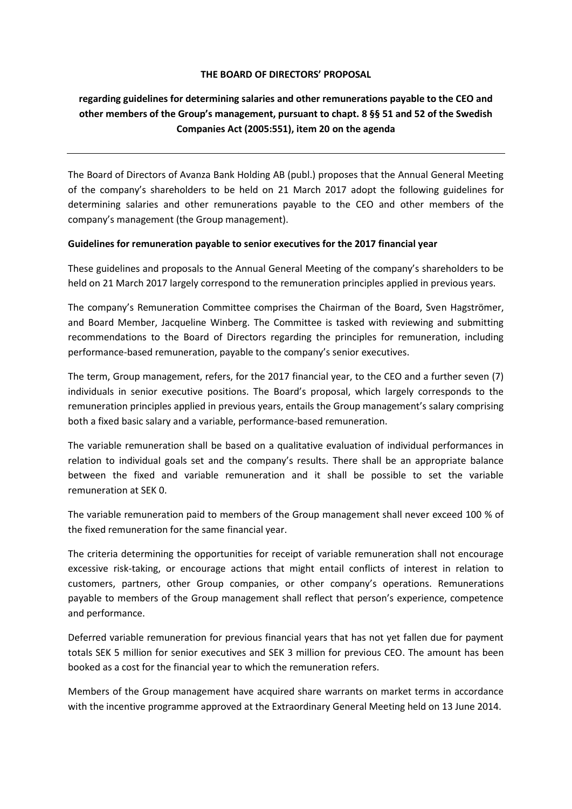## **THE BOARD OF DIRECTORS' PROPOSAL**

## **regarding guidelines for determining salaries and other remunerations payable to the CEO and other members of the Group's management, pursuant to chapt. 8 §§ 51 and 52 of the Swedish Companies Act (2005:551), item 20 on the agenda**

The Board of Directors of Avanza Bank Holding AB (publ.) proposes that the Annual General Meeting of the company's shareholders to be held on 21 March 2017 adopt the following guidelines for determining salaries and other remunerations payable to the CEO and other members of the company's management (the Group management).

## **Guidelines for remuneration payable to senior executives for the 2017 financial year**

These guidelines and proposals to the Annual General Meeting of the company's shareholders to be held on 21 March 2017 largely correspond to the remuneration principles applied in previous years.

The company's Remuneration Committee comprises the Chairman of the Board, Sven Hagströmer, and Board Member, Jacqueline Winberg. The Committee is tasked with reviewing and submitting recommendations to the Board of Directors regarding the principles for remuneration, including performance-based remuneration, payable to the company's senior executives.

The term, Group management, refers, for the 2017 financial year, to the CEO and a further seven (7) individuals in senior executive positions. The Board's proposal, which largely corresponds to the remuneration principles applied in previous years, entails the Group management's salary comprising both a fixed basic salary and a variable, performance-based remuneration.

The variable remuneration shall be based on a qualitative evaluation of individual performances in relation to individual goals set and the company's results. There shall be an appropriate balance between the fixed and variable remuneration and it shall be possible to set the variable remuneration at SEK 0.

The variable remuneration paid to members of the Group management shall never exceed 100 % of the fixed remuneration for the same financial year.

The criteria determining the opportunities for receipt of variable remuneration shall not encourage excessive risk-taking, or encourage actions that might entail conflicts of interest in relation to customers, partners, other Group companies, or other company's operations. Remunerations payable to members of the Group management shall reflect that person's experience, competence and performance.

Deferred variable remuneration for previous financial years that has not yet fallen due for payment totals SEK 5 million for senior executives and SEK 3 million for previous CEO. The amount has been booked as a cost for the financial year to which the remuneration refers.

Members of the Group management have acquired share warrants on market terms in accordance with the incentive programme approved at the Extraordinary General Meeting held on 13 June 2014.